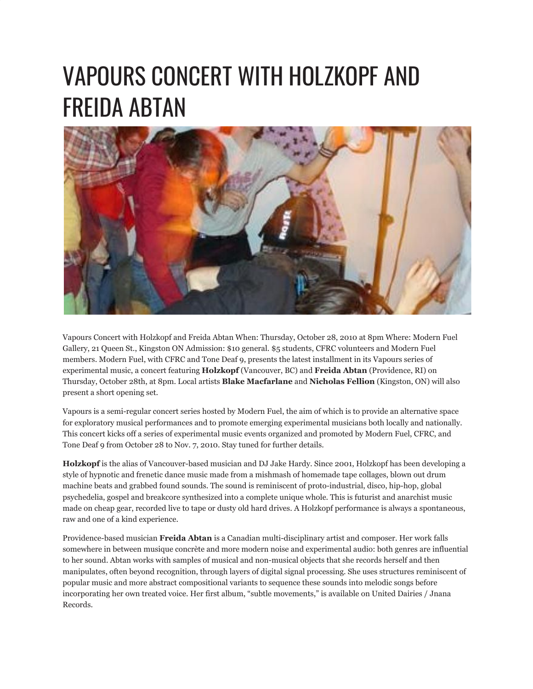## VAPOURS CONCERT WITH HOLZKOPF AND FREIDA ABTAN



Vapours Concert with Holzkopf and Freida Abtan When: Thursday, October 28, 2010 at 8pm Where: Modern Fuel Gallery, 21 Queen St., Kingston ON Admission: \$10 general. \$5 students, CFRC volunteers and Modern Fuel members. Modern Fuel, with CFRC and Tone Deaf 9, presents the latest installment in its Vapours series of experimental music, a concert featuring **Holzkopf** (Vancouver, BC) and **Freida Abtan** (Providence, RI) on Thursday, October 28th, at 8pm. Local artists **Blake Macfarlane** and **Nicholas Fellion** (Kingston, ON) will also present a short opening set.

Vapours is a semi-regular concert series hosted by Modern Fuel, the aim of which is to provide an alternative space for exploratory musical performances and to promote emerging experimental musicians both locally and nationally. This concert kicks off a series of experimental music events organized and promoted by Modern Fuel, CFRC, and Tone Deaf 9 from October 28 to Nov. 7, 2010. Stay tuned for further details.

**Holzkopf** is the alias of Vancouver-based musician and DJ Jake Hardy. Since 2001, Holzkopf has been developing a style of hypnotic and frenetic dance music made from a mishmash of homemade tape collages, blown out drum machine beats and grabbed found sounds. The sound is reminiscent of proto-industrial, disco, hip-hop, global psychedelia, gospel and breakcore synthesized into a complete unique whole. This is futurist and anarchist music made on cheap gear, recorded live to tape or dusty old hard drives. A Holzkopf performance is always a spontaneous, raw and one of a kind experience.

Providence-based musician **Freida Abtan** is a Canadian multi-disciplinary artist and composer. Her work falls somewhere in between musique concrète and more modern noise and experimental audio: both genres are influential to her sound. Abtan works with samples of musical and non-musical objects that she records herself and then manipulates, often beyond recognition, through layers of digital signal processing. She uses structures reminiscent of popular music and more abstract compositional variants to sequence these sounds into melodic songs before incorporating her own treated voice. Her first album, "subtle movements," is available on United Dairies / Jnana Records.